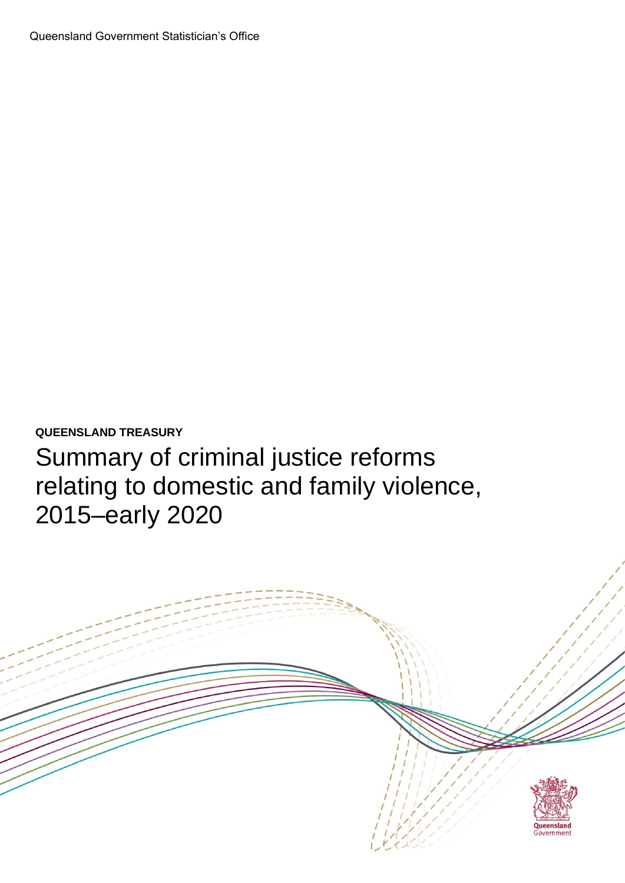

**QUEENSLAND TREASURY**

Summary of criminal justice reforms relating to domestic and family violence, 2015–early 2020

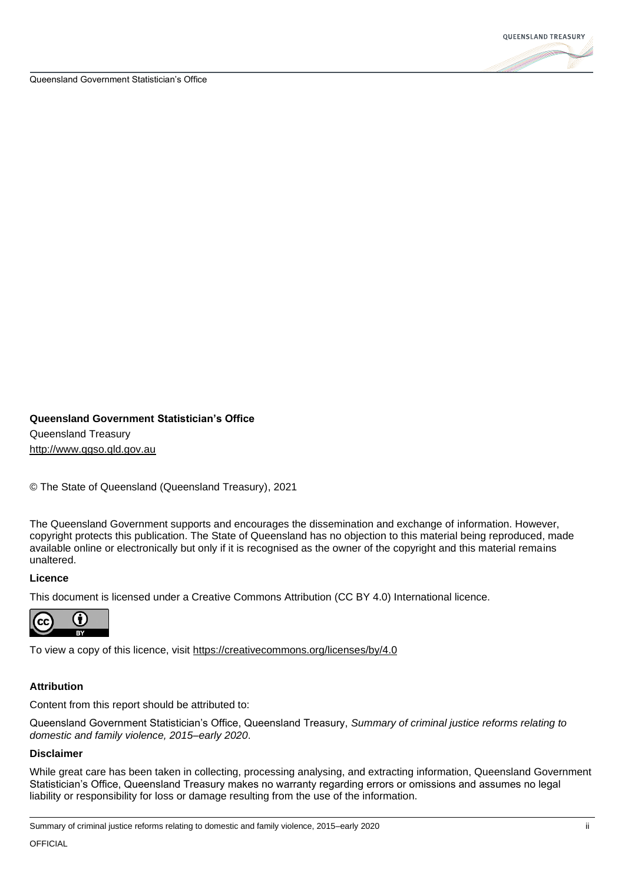

## **Queensland Government Statistician's Office** Queensland Treasury

[http://www.qgso.qld.gov.au](http://www.qgso.qld.gov.au/)

© The State of Queensland (Queensland Treasury), 2021

The Queensland Government supports and encourages the dissemination and exchange of information. However, copyright protects this publication. The State of Queensland has no objection to this material being reproduced, made available online or electronically but only if it is recognised as the owner of the copyright and this material remains unaltered.

## **Licence**

This document is licensed under a Creative Commons Attribution (CC BY 4.0) International licence.



To view a copy of this licence, visit<https://creativecommons.org/licenses/by/4.0>

## **Attribution**

Content from this report should be attributed to:

Queensland Government Statistician's Office, Queensland Treasury, *Summary of criminal justice reforms relating to domestic and family violence, 2015–early 2020*.

## **Disclaimer**

While great care has been taken in collecting, processing analysing, and extracting information, Queensland Government Statistician's Office, Queensland Treasury makes no warranty regarding errors or omissions and assumes no legal liability or responsibility for loss or damage resulting from the use of the information.

Summary of criminal justice reforms relating to domestic and family violence, 2015–early 2020 in the state of control of the state of the state of the state of the state of the state of the state of the state of the state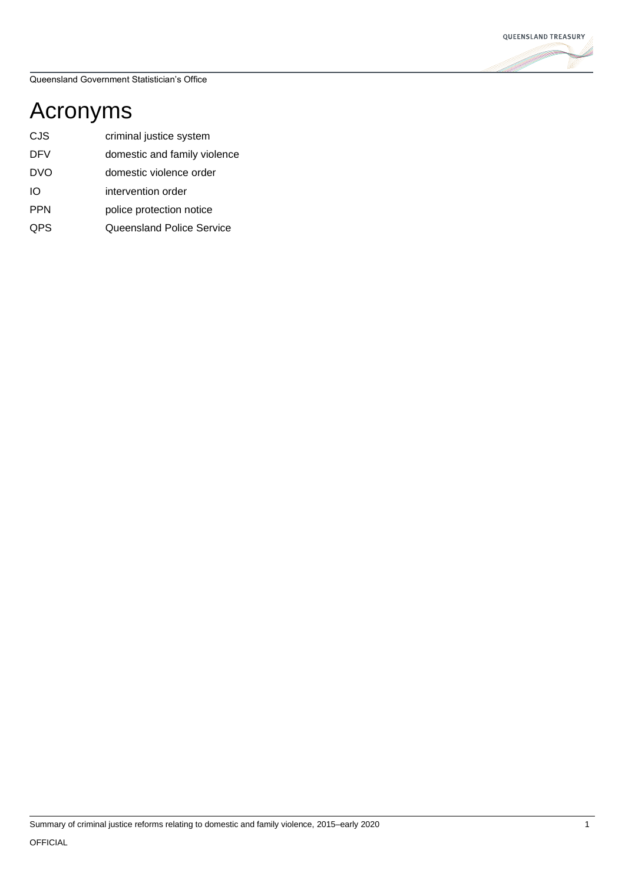

## Acronyms

- CJS criminal justice system
- DFV domestic and family violence
- DVO domestic violence order
- IO intervention order
- PPN police protection notice
- QPS Queensland Police Service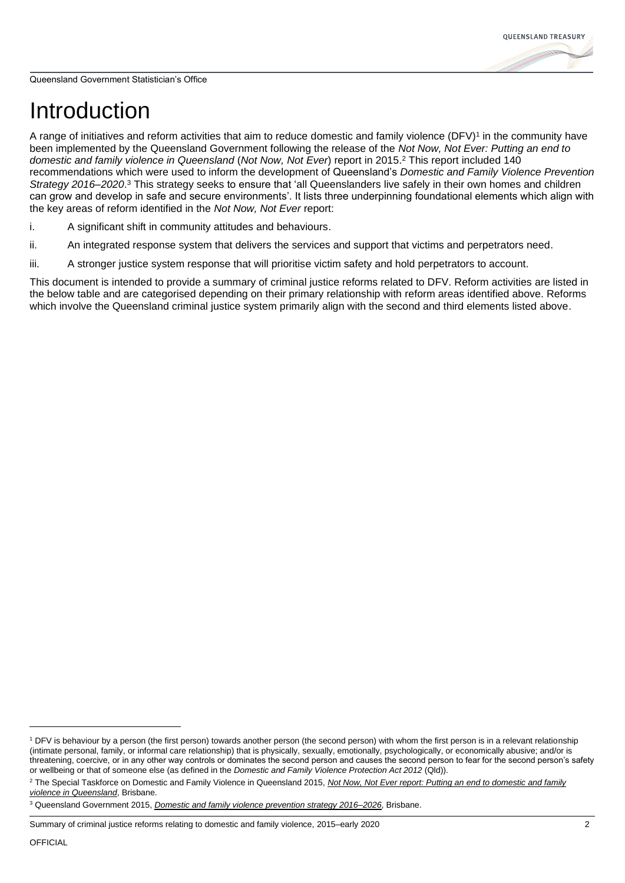# Introduction

A range of initiatives and reform activities that aim to reduce domestic and family violence  $(DFV)^1$  in the community have been implemented by the Queensland Government following the release of the *Not Now, Not Ever: Putting an end to domestic and family violence in Queensland* (*Not Now, Not Ever*) report in 2015.<sup>2</sup> This report included 140 recommendations which were used to inform the development of Queensland's *Domestic and Family Violence Prevention Strategy 2016–2020*. <sup>3</sup> This strategy seeks to ensure that 'all Queenslanders live safely in their own homes and children can grow and develop in safe and secure environments'. It lists three underpinning foundational elements which align with the key areas of reform identified in the *Not Now, Not Ever* report:

- i. A significant shift in community attitudes and behaviours.
- ii. An integrated response system that delivers the services and support that victims and perpetrators need.
- iii. A stronger justice system response that will prioritise victim safety and hold perpetrators to account.

This document is intended to provide a summary of criminal justice reforms related to DFV. Reform activities are listed in the below table and are categorised depending on their primary relationship with reform areas identified above. Reforms which involve the Queensland criminal justice system primarily align with the second and third elements listed above.

<sup>&</sup>lt;sup>1</sup> DFV is behaviour by a person (the first person) towards another person (the second person) with whom the first person is in a relevant relationship (intimate personal, family, or informal care relationship) that is physically, sexually, emotionally, psychologically, or economically abusive; and/or is threatening, coercive, or in any other way controls or dominates the second person and causes the second person to fear for the second person's safety or wellbeing or that of someone else (as defined in the *Domestic and Family Violence Protection Act 2012* (Qld)).

<sup>2</sup> The Special Taskforce on Domestic and Family Violence in Queensland 2015, *[Not Now, Not Ever report: Putting an end to domestic and family](https://www.csyw.qld.gov.au/resources/campaign/end-violence/about/dfv-report-vol-one.pdf)  [violence in Queensland](https://www.csyw.qld.gov.au/resources/campaign/end-violence/about/dfv-report-vol-one.pdf)*, Brisbane.

<sup>3</sup> Queensland Government 2015, *[Domestic and family violence prevention strategy 2016–2026](https://www.csyw.qld.gov.au/resources/campaign/end-violence/dfv-prevention-strategy.pdf)*, Brisbane.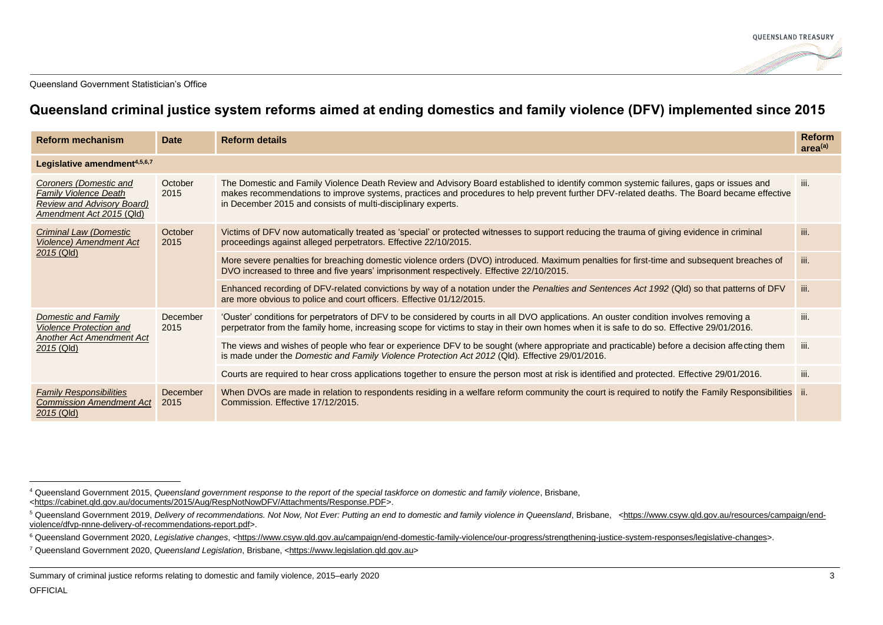

## **Queensland criminal justice system reforms aimed at ending domestics and family violence (DFV) implemented since 2015**

| <b>Reform mechanism</b>                                                                                                 | <b>Date</b>      | <b>Reform details</b>                                                                                                                                                                                                                                                                                                                              | <b>Reform</b><br>area <sup>(a)</sup> |
|-------------------------------------------------------------------------------------------------------------------------|------------------|----------------------------------------------------------------------------------------------------------------------------------------------------------------------------------------------------------------------------------------------------------------------------------------------------------------------------------------------------|--------------------------------------|
| Legislative amendment <sup>4,5,6,7</sup>                                                                                |                  |                                                                                                                                                                                                                                                                                                                                                    |                                      |
| Coroners (Domestic and<br><b>Family Violence Death</b><br><b>Review and Advisory Board)</b><br>Amendment Act 2015 (Qld) | October<br>2015  | The Domestic and Family Violence Death Review and Advisory Board established to identify common systemic failures, gaps or issues and<br>makes recommendations to improve systems, practices and procedures to help prevent further DFV-related deaths. The Board became effective<br>in December 2015 and consists of multi-disciplinary experts. | iii.                                 |
| Criminal Law (Domestic<br><b>Violence)</b> Amendment Act<br>$2015$ (Qld)                                                | October<br>2015  | Victims of DFV now automatically treated as 'special' or protected witnesses to support reducing the trauma of giving evidence in criminal<br>proceedings against alleged perpetrators. Effective 22/10/2015.                                                                                                                                      | iii.                                 |
|                                                                                                                         |                  | More severe penalties for breaching domestic violence orders (DVO) introduced. Maximum penalties for first-time and subsequent breaches of<br>DVO increased to three and five years' imprisonment respectively. Effective 22/10/2015.                                                                                                              | iii.                                 |
|                                                                                                                         |                  | Enhanced recording of DFV-related convictions by way of a notation under the Penalties and Sentences Act 1992 (Qld) so that patterns of DFV<br>are more obvious to police and court officers. Effective 01/12/2015.                                                                                                                                | iii.                                 |
| Domestic and Family<br><b>Violence Protection and</b><br><b>Another Act Amendment Act</b><br>2015 (Qld)                 | December<br>2015 | 'Ouster' conditions for perpetrators of DFV to be considered by courts in all DVO applications. An ouster condition involves removing a<br>perpetrator from the family home, increasing scope for victims to stay in their own homes when it is safe to do so. Effective 29/01/2016.                                                               | iii.                                 |
|                                                                                                                         |                  | The views and wishes of people who fear or experience DFV to be sought (where appropriate and practicable) before a decision affecting them<br>is made under the Domestic and Family Violence Protection Act 2012 (Qld). Effective 29/01/2016.                                                                                                     | iii.                                 |
|                                                                                                                         |                  | Courts are required to hear cross applications together to ensure the person most at risk is identified and protected. Effective 29/01/2016.                                                                                                                                                                                                       | iii.                                 |
| <b>Family Responsibilities</b><br><b>Commission Amendment Act</b><br>$2015$ (Qld)                                       | December<br>2015 | When DVOs are made in relation to respondents residing in a welfare reform community the court is required to notify the Family Responsibilities ii.<br>Commission. Effective 17/12/2015.                                                                                                                                                          |                                      |

<sup>4</sup> Queensland Government 2015, *Queensland government response to the report of the special taskforce on domestic and family violence*, Brisbane, [<https://cabinet.qld.gov.au/documents/2015/Aug/RespNotNowDFV/Attachments/Response.PDF>](https://cabinet.qld.gov.au/documents/2015/Aug/RespNotNowDFV/Attachments/Response.PDF).

<sup>5</sup> Queensland Government 2019, *Delivery of recommendations. Not Now, Not Ever: Putting an end to domestic and family violence in Queensland*, Brisbane, [<https://www.csyw.qld.gov.au/resources/campaign/end](https://www.csyw.qld.gov.au/resources/campaign/end-violence/dfvp-nnne-delivery-of-recommendations-report.pdf)[violence/dfvp-nnne-delivery-of-recommendations-report.pdf>](https://www.csyw.qld.gov.au/resources/campaign/end-violence/dfvp-nnne-delivery-of-recommendations-report.pdf).

<sup>6</sup> Queensland Government 2020, *Legislative changes*, [<https://www.csyw.qld.gov.au/campaign/end-domestic-family-violence/our-progress/strengthening-justice-system-responses/legislative-changes>](https://www.csyw.qld.gov.au/campaign/end-domestic-family-violence/our-progress/strengthening-justice-system-responses/legislative-changes).

<sup>7</sup> Queensland Government 2020, *Queensland Legislation*, Brisbane, [<https://www.legislation.qld.gov.au>](https://www.legislation.qld.gov.au/)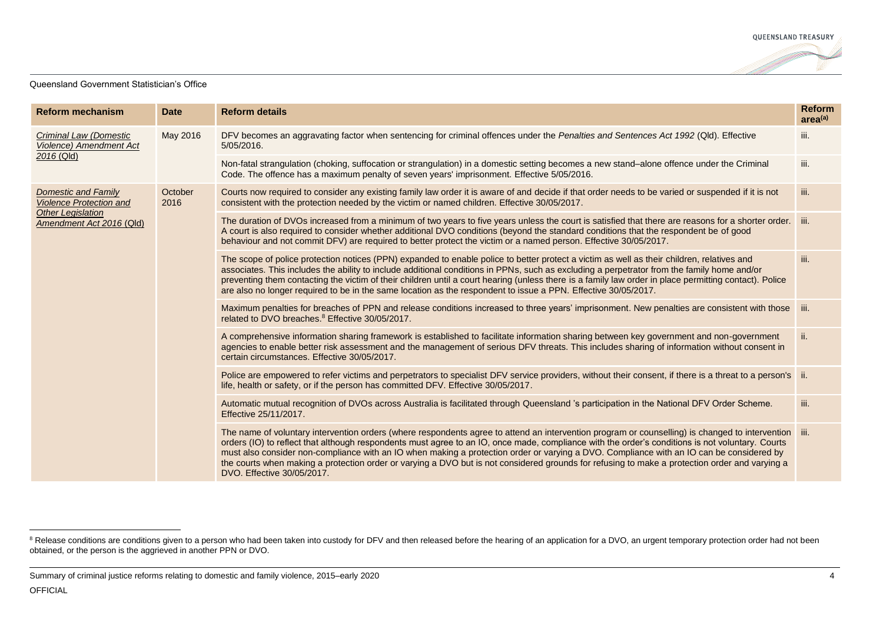

| <b>Reform mechanism</b>                                                                                | <b>Date</b>     | <b>Reform details</b>                                                                                                                                                                                                                                                                                                                                                                                                                                                                                                                                                                                                                | <b>Reform</b><br>area <sup>(a)</sup> |
|--------------------------------------------------------------------------------------------------------|-----------------|--------------------------------------------------------------------------------------------------------------------------------------------------------------------------------------------------------------------------------------------------------------------------------------------------------------------------------------------------------------------------------------------------------------------------------------------------------------------------------------------------------------------------------------------------------------------------------------------------------------------------------------|--------------------------------------|
| <b>Criminal Law (Domestic</b><br><b>Violence)</b> Amendment Act<br>2016 (Qld)                          | May 2016        | DFV becomes an aggravating factor when sentencing for criminal offences under the Penalties and Sentences Act 1992 (Qld). Effective<br>5/05/2016.                                                                                                                                                                                                                                                                                                                                                                                                                                                                                    | iii.                                 |
|                                                                                                        |                 | Non-fatal strangulation (choking, suffocation or strangulation) in a domestic setting becomes a new stand-alone offence under the Criminal<br>Code. The offence has a maximum penalty of seven years' imprisonment. Effective 5/05/2016.                                                                                                                                                                                                                                                                                                                                                                                             | iii.                                 |
| Domestic and Family<br><b>Violence Protection and</b><br>Other Legislation<br>Amendment Act 2016 (Qld) | October<br>2016 | Courts now required to consider any existing family law order it is aware of and decide if that order needs to be varied or suspended if it is not<br>consistent with the protection needed by the victim or named children. Effective 30/05/2017.                                                                                                                                                                                                                                                                                                                                                                                   | iii.                                 |
|                                                                                                        |                 | The duration of DVOs increased from a minimum of two years to five years unless the court is satisfied that there are reasons for a shorter order.<br>A court is also required to consider whether additional DVO conditions (beyond the standard conditions that the respondent be of good<br>behaviour and not commit DFV) are required to better protect the victim or a named person. Effective 30/05/2017.                                                                                                                                                                                                                      | iii.                                 |
|                                                                                                        |                 | The scope of police protection notices (PPN) expanded to enable police to better protect a victim as well as their children, relatives and<br>associates. This includes the ability to include additional conditions in PPNs, such as excluding a perpetrator from the family home and/or<br>preventing them contacting the victim of their children until a court hearing (unless there is a family law order in place permitting contact). Police<br>are also no longer required to be in the same location as the respondent to issue a PPN. Effective 30/05/2017.                                                                | iii.                                 |
|                                                                                                        |                 | Maximum penalties for breaches of PPN and release conditions increased to three years' imprisonment. New penalties are consistent with those<br>related to DVO breaches. <sup>8</sup> Effective 30/05/2017.                                                                                                                                                                                                                                                                                                                                                                                                                          | iii.                                 |
|                                                                                                        |                 | A comprehensive information sharing framework is established to facilitate information sharing between key government and non-government<br>agencies to enable better risk assessment and the management of serious DFV threats. This includes sharing of information without consent in<br>certain circumstances. Effective 30/05/2017.                                                                                                                                                                                                                                                                                             | ii.                                  |
|                                                                                                        |                 | Police are empowered to refer victims and perpetrators to specialist DFV service providers, without their consent, if there is a threat to a person's ii.<br>life, health or safety, or if the person has committed DFV. Effective 30/05/2017.                                                                                                                                                                                                                                                                                                                                                                                       |                                      |
|                                                                                                        |                 | Automatic mutual recognition of DVOs across Australia is facilitated through Queensland 's participation in the National DFV Order Scheme.<br>Effective 25/11/2017.                                                                                                                                                                                                                                                                                                                                                                                                                                                                  | iii.                                 |
|                                                                                                        |                 | The name of voluntary intervention orders (where respondents agree to attend an intervention program or counselling) is changed to intervention iii.<br>orders (IO) to reflect that although respondents must agree to an IO, once made, compliance with the order's conditions is not voluntary. Courts<br>must also consider non-compliance with an IO when making a protection order or varying a DVO. Compliance with an IO can be considered by<br>the courts when making a protection order or varying a DVO but is not considered grounds for refusing to make a protection order and varying a<br>DVO. Effective 30/05/2017. |                                      |

Summary of criminal justice reforms relating to domestic and family violence, 2015–early 2020 4

<sup>&</sup>lt;sup>8</sup> Release conditions are conditions given to a person who had been taken into custody for DFV and then released before the hearing of an application for a DVO, an urgent temporary protection order had not been obtained, or the person is the aggrieved in another PPN or DVO.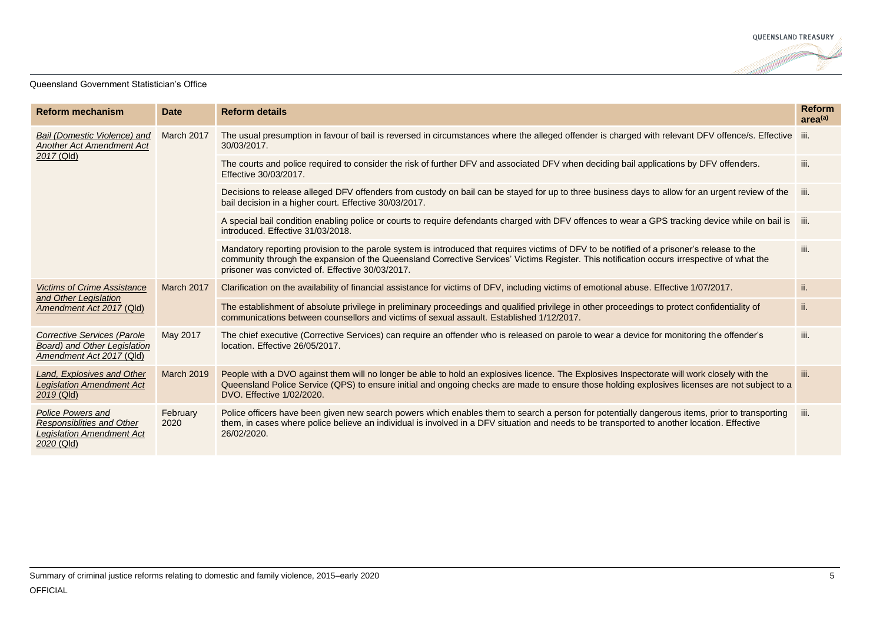

| <b>Reform mechanism</b>                                                                                        | <b>Date</b>       | <b>Reform details</b>                                                                                                                                                                                                                                                                                                                         | <b>Reform</b><br>area <sup>(a)</sup> |
|----------------------------------------------------------------------------------------------------------------|-------------------|-----------------------------------------------------------------------------------------------------------------------------------------------------------------------------------------------------------------------------------------------------------------------------------------------------------------------------------------------|--------------------------------------|
| Bail (Domestic Violence) and<br><b>Another Act Amendment Act</b><br>2017 (Qld)                                 | March 2017        | The usual presumption in favour of bail is reversed in circumstances where the alleged offender is charged with relevant DFV offence/s. Effective iii.<br>30/03/2017.                                                                                                                                                                         |                                      |
|                                                                                                                |                   | The courts and police required to consider the risk of further DFV and associated DFV when deciding bail applications by DFV offenders.<br>Effective 30/03/2017.                                                                                                                                                                              | iii.                                 |
|                                                                                                                |                   | Decisions to release alleged DFV offenders from custody on bail can be stayed for up to three business days to allow for an urgent review of the<br>bail decision in a higher court. Effective 30/03/2017.                                                                                                                                    | iii.                                 |
|                                                                                                                |                   | A special bail condition enabling police or courts to require defendants charged with DFV offences to wear a GPS tracking device while on bail is iii.<br>introduced. Effective 31/03/2018.                                                                                                                                                   |                                      |
|                                                                                                                |                   | Mandatory reporting provision to the parole system is introduced that requires victims of DFV to be notified of a prisoner's release to the<br>community through the expansion of the Queensland Corrective Services' Victims Register. This notification occurs irrespective of what the<br>prisoner was convicted of. Effective 30/03/2017. | iii.                                 |
| <b>Victims of Crime Assistance</b>                                                                             | March 2017        | Clarification on the availability of financial assistance for victims of DFV, including victims of emotional abuse. Effective 1/07/2017.                                                                                                                                                                                                      | ii.                                  |
| and Other Legislation<br>Amendment Act 2017 (Qld)                                                              |                   | The establishment of absolute privilege in preliminary proceedings and qualified privilege in other proceedings to protect confidentiality of<br>communications between counsellors and victims of sexual assault. Established 1/12/2017.                                                                                                     | ii.                                  |
| <b>Corrective Services (Parole</b><br>Board) and Other Legislation<br>Amendment Act 2017 (Qld)                 | May 2017          | The chief executive (Corrective Services) can require an offender who is released on parole to wear a device for monitoring the offender's<br>location. Effective 26/05/2017.                                                                                                                                                                 | iii.                                 |
| Land, Explosives and Other<br><b>Legislation Amendment Act</b><br>$2019$ (Qld)                                 | <b>March 2019</b> | People with a DVO against them will no longer be able to hold an explosives licence. The Explosives Inspectorate will work closely with the<br>Queensland Police Service (QPS) to ensure initial and ongoing checks are made to ensure those holding explosives licenses are not subject to a<br>DVO. Effective 1/02/2020.                    | iii.                                 |
| <b>Police Powers and</b><br><b>Responsiblities and Other</b><br><b>Legislation Amendment Act</b><br>2020 (Qld) | February<br>2020  | Police officers have been given new search powers which enables them to search a person for potentially dangerous items, prior to transporting<br>them, in cases where police believe an individual is involved in a DFV situation and needs to be transported to another location. Effective<br>26/02/2020.                                  | iii.                                 |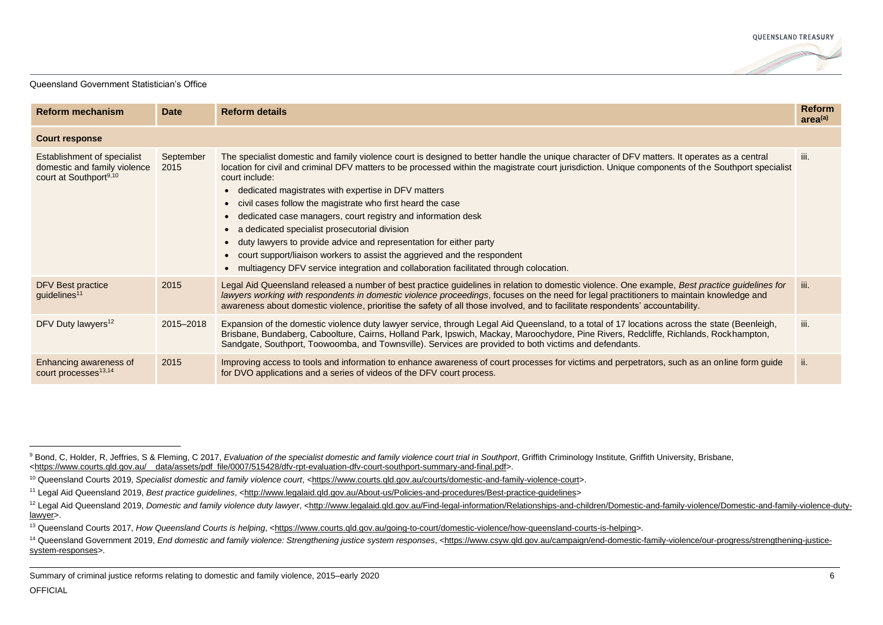

| <b>Reform mechanism</b>                                                                           | <b>Date</b>       | <b>Reform details</b>                                                                                                                                                                                                                                                                                                                                                                                                                                                                                                                                                                                                                                                                                                                                                                                                | <b>Reform</b><br>area <sup>(a)</sup> |
|---------------------------------------------------------------------------------------------------|-------------------|----------------------------------------------------------------------------------------------------------------------------------------------------------------------------------------------------------------------------------------------------------------------------------------------------------------------------------------------------------------------------------------------------------------------------------------------------------------------------------------------------------------------------------------------------------------------------------------------------------------------------------------------------------------------------------------------------------------------------------------------------------------------------------------------------------------------|--------------------------------------|
| <b>Court response</b>                                                                             |                   |                                                                                                                                                                                                                                                                                                                                                                                                                                                                                                                                                                                                                                                                                                                                                                                                                      |                                      |
| Establishment of specialist<br>domestic and family violence<br>court at Southport <sup>9,10</sup> | September<br>2015 | The specialist domestic and family violence court is designed to better handle the unique character of DFV matters. It operates as a central<br>location for civil and criminal DFV matters to be processed within the magistrate court jurisdiction. Unique components of the Southport specialist<br>court include:<br>• dedicated magistrates with expertise in DFV matters<br>• civil cases follow the magistrate who first heard the case<br>• dedicated case managers, court registry and information desk<br>• a dedicated specialist prosecutorial division<br>• duty lawyers to provide advice and representation for either party<br>• court support/liaison workers to assist the aggrieved and the respondent<br>• multiagency DFV service integration and collaboration facilitated through colocation. | iii.                                 |
| DFV Best practice<br>guidelines <sup>11</sup>                                                     | 2015              | Legal Aid Queensland released a number of best practice guidelines in relation to domestic violence. One example, Best practice guidelines for<br>lawyers working with respondents in domestic violence proceedings, focuses on the need for legal practitioners to maintain knowledge and<br>awareness about domestic violence, prioritise the safety of all those involved, and to facilitate respondents' accountability.                                                                                                                                                                                                                                                                                                                                                                                         | iii.                                 |
| DFV Duty lawyers <sup>12</sup>                                                                    | 2015-2018         | Expansion of the domestic violence duty lawyer service, through Legal Aid Queensland, to a total of 17 locations across the state (Beenleigh,<br>Brisbane, Bundaberg, Caboolture, Cairns, Holland Park, Ipswich, Mackay, Maroochydore, Pine Rivers, Redcliffe, Richlands, Rockhampton,<br>Sandgate, Southport, Toowoomba, and Townsville). Services are provided to both victims and defendants.                                                                                                                                                                                                                                                                                                                                                                                                                     | iii.                                 |
| Enhancing awareness of<br>court processes <sup>13,14</sup>                                        | 2015              | Improving access to tools and information to enhance awareness of court processes for victims and perpetrators, such as an online form guide<br>for DVO applications and a series of videos of the DFV court process.                                                                                                                                                                                                                                                                                                                                                                                                                                                                                                                                                                                                | ii.                                  |

<sup>&</sup>lt;sup>9</sup> Bond, C, Holder, R, Jeffries, S & Fleming, C 2017, *Evaluation of the specialist domestic and family violence court trial in Southport*, Griffith Criminology Institute, Griffith University, Brisbane, [<https://www.courts.qld.gov.au/\\_\\_data/assets/pdf\\_file/0007/515428/dfv-rpt-evaluation-dfv-court-southport-summary-and-final.pdf>](https://www.courts.qld.gov.au/__data/assets/pdf_file/0007/515428/dfv-rpt-evaluation-dfv-court-southport-summary-and-final.pdf).

<sup>&</sup>lt;sup>10</sup> Queensland Courts 2019, *Specialist domestic and family violence court*, [<https://www.courts.qld.gov.au/courts/domestic-and-family-violence-court>](https://www.courts.qld.gov.au/courts/domestic-and-family-violence-court).

<sup>11</sup> Legal Aid Queensland 2019, *Best practice guidelines*, [<http://www.legalaid.qld.gov.au/About-us/Policies-and-procedures/Best-practice-guidelines>](http://www.legalaid.qld.gov.au/About-us/Policies-and-procedures/Best-practice-guidelines)

<sup>&</sup>lt;sup>12</sup> Legal Aid Queensland 2019, *Domestic and family violence duty lawyer*, <http://www.legalaid.gld.gov.au/Find-legal-information/Relationships-and-children/Domestic-and-family-violence/Domestic-and-family-violence-duty[lawyer>](http://www.legalaid.qld.gov.au/Find-legal-information/Relationships-and-children/Domestic-and-family-violence/Domestic-and-family-violence-duty-lawyer).

<sup>&</sup>lt;sup>13</sup> Queensland Courts 2017, *How Queensland Courts is helping*, [<https://www.courts.qld.gov.au/going-to-court/domestic-violence/how-queensland-courts-is-helping>](https://www.courts.qld.gov.au/going-to-court/domestic-violence/how-queensland-courts-is-helping).

<sup>&</sup>lt;sup>14</sup> Queensland Government 2019, *End domestic and family violence: Strengthening justice system responses*, [<https://www.csyw.qld.gov.au/campaign/end-domestic-family-violence/our-progress/strengthening-justice](https://www.csyw.qld.gov.au/campaign/end-domestic-family-violence/our-progress/strengthening-justice-system-responses)[system-responses>](https://www.csyw.qld.gov.au/campaign/end-domestic-family-violence/our-progress/strengthening-justice-system-responses).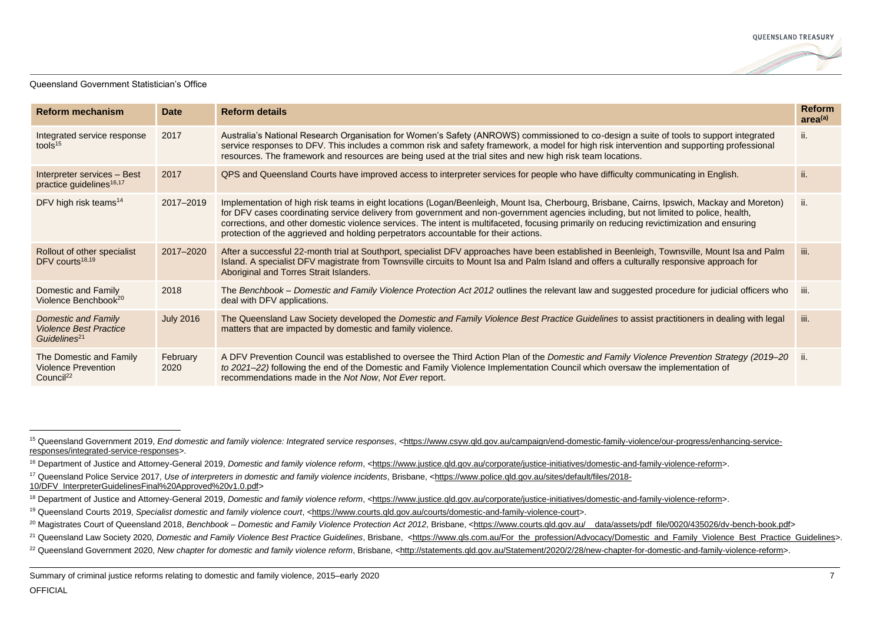

| <b>Reform mechanism</b>                                                          | <b>Date</b>      | <b>Reform details</b>                                                                                                                                                                                                                                                                                                                                                                                                                                                                                                     | <b>Reform</b><br>area <sup>(a)</sup> |
|----------------------------------------------------------------------------------|------------------|---------------------------------------------------------------------------------------------------------------------------------------------------------------------------------------------------------------------------------------------------------------------------------------------------------------------------------------------------------------------------------------------------------------------------------------------------------------------------------------------------------------------------|--------------------------------------|
| Integrated service response<br>tools $15$                                        | 2017             | Australia's National Research Organisation for Women's Safety (ANROWS) commissioned to co-design a suite of tools to support integrated<br>service responses to DFV. This includes a common risk and safety framework, a model for high risk intervention and supporting professional<br>resources. The framework and resources are being used at the trial sites and new high risk team locations.                                                                                                                       | ii.                                  |
| Interpreter services - Best<br>practice guidelines <sup>16,17</sup>              | 2017             | QPS and Queensland Courts have improved access to interpreter services for people who have difficulty communicating in English.                                                                                                                                                                                                                                                                                                                                                                                           | ii.                                  |
| DFV high risk teams <sup>14</sup>                                                | 2017-2019        | Implementation of high risk teams in eight locations (Logan/Beenleigh, Mount Isa, Cherbourg, Brisbane, Cairns, Ipswich, Mackay and Moreton)<br>for DFV cases coordinating service delivery from government and non-government agencies including, but not limited to police, health,<br>corrections, and other domestic violence services. The intent is multifaceted, focusing primarily on reducing revictimization and ensuring<br>protection of the aggrieved and holding perpetrators accountable for their actions. | ii.                                  |
| Rollout of other specialist<br>DFV courts <sup>18,19</sup>                       | 2017-2020        | After a successful 22-month trial at Southport, specialist DFV approaches have been established in Beenleigh, Townsville, Mount Isa and Palm<br>Island. A specialist DFV magistrate from Townsville circuits to Mount Isa and Palm Island and offers a culturally responsive approach for<br>Aboriginal and Torres Strait Islanders.                                                                                                                                                                                      | iii.                                 |
| Domestic and Family<br>Violence Benchbook <sup>20</sup>                          | 2018             | The Benchbook – Domestic and Family Violence Protection Act 2012 outlines the relevant law and suggested procedure for judicial officers who<br>deal with DFV applications.                                                                                                                                                                                                                                                                                                                                               | iii.                                 |
| Domestic and Family<br><b>Violence Best Practice</b><br>Guidelines <sup>21</sup> | <b>July 2016</b> | The Queensland Law Society developed the Domestic and Family Violence Best Practice Guidelines to assist practitioners in dealing with legal<br>matters that are impacted by domestic and family violence.                                                                                                                                                                                                                                                                                                                | iii.                                 |
| The Domestic and Family<br><b>Violence Prevention</b><br>Council <sup>22</sup>   | February<br>2020 | A DFV Prevention Council was established to oversee the Third Action Plan of the Domestic and Family Violence Prevention Strategy (2019–20<br>to 2021–22) following the end of the Domestic and Family Violence Implementation Council which oversaw the implementation of<br>recommendations made in the Not Now, Not Ever report.                                                                                                                                                                                       | ∟ii.                                 |

- <sup>17</sup> Queensland Police Service 2017, *Use of interpreters in domestic and family violence incidents*, Brisbane, [<https://www.police.qld.gov.au/sites/default/files/2018-](https://www.police.qld.gov.au/sites/default/files/2018-10/DFV_InterpreterGuidelinesFinal%20Approved%20v1.0.pdf)
- [10/DFV\\_InterpreterGuidelinesFinal%20Approved%20v1.0.pdf>](https://www.police.qld.gov.au/sites/default/files/2018-10/DFV_InterpreterGuidelinesFinal%20Approved%20v1.0.pdf)

<sup>15</sup> Queensland Government 2019, *End domestic and family violence: Integrated service responses*, [<https://www.csyw.qld.gov.au/campaign/end-domestic-family-violence/our-progress/enhancing-service](https://www.csyw.qld.gov.au/campaign/end-domestic-family-violence/our-progress/enhancing-service-responses/integrated-service-responses)[responses/integrated-service-responses>](https://www.csyw.qld.gov.au/campaign/end-domestic-family-violence/our-progress/enhancing-service-responses/integrated-service-responses).

<sup>&</sup>lt;sup>16</sup> Department of Justice and Attorney-General 2019, *Domestic and family violence reform*, [<https://www.justice.qld.gov.au/corporate/justice-initiatives/domestic-and-family-violence-reform>](https://www.justice.qld.gov.au/corporate/justice-initiatives/domestic-and-family-violence-reform).

<sup>&</sup>lt;sup>18</sup> Department of Justice and Attorney-General 2019, *Domestic and family violence reform*, [<https://www.justice.qld.gov.au/corporate/justice-initiatives/domestic-and-family-violence-reform>](https://www.justice.qld.gov.au/corporate/justice-initiatives/domestic-and-family-violence-reform).

<sup>19</sup> Queensland Courts 2019, *Specialist domestic and family violence court*, [<https://www.courts.qld.gov.au/courts/domestic-and-family-violence-court>](https://www.courts.qld.gov.au/courts/domestic-and-family-violence-court).

<sup>20</sup> Magistrates Court of Queensland 2018, *Benchbook – Domestic and Family Violence Protection Act 2012*, Brisbane, [<https://www.courts.qld.gov.au/\\_\\_data/assets/pdf\\_file/0020/435026/dv-bench-book.pdf>](https://www.courts.qld.gov.au/__data/assets/pdf_file/0020/435026/dv-bench-book.pdf)

<sup>&</sup>lt;sup>21</sup> Queensland Law Society 2020, *Domestic and Family Violence Best Practice Guidelines*, Brisbane, [<https://www.qls.com.au/For\\_the\\_profession/Advocacy/Domestic\\_and\\_Family\\_Violence\\_Best\\_Practice\\_Guidelines>](https://www.qls.com.au/For_the_profession/Advocacy/Domestic_and_Family_Violence_Best_Practice_Guidelines).

<sup>22</sup> Queensland Government 2020, *New chapter for domestic and family violence reform*, Brisbane, [<http://statements.qld.gov.au/Statement/2020/2/28/new-chapter-for-domestic-and-family-violence-reform>](http://statements.qld.gov.au/Statement/2020/2/28/new-chapter-for-domestic-and-family-violence-reform).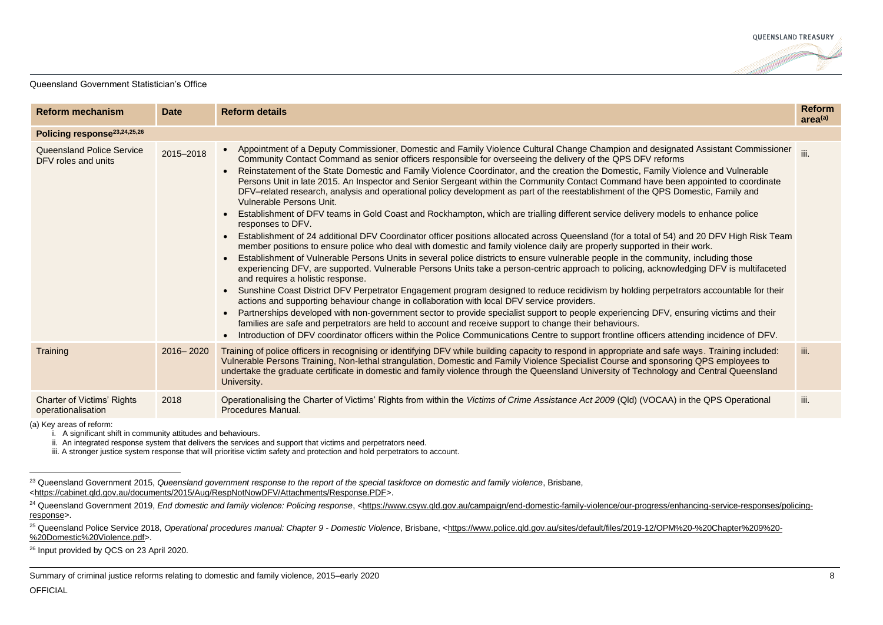

| <b>Reform mechanism</b>                                 | <b>Date</b> | <b>Reform details</b>                                                                                                                                                                                                                                                                                                                                                                                                                                                                                                                                                                                                                                                                                                                                                                                                                                                                                                                                                                                                                                                                                                                                                                                                                                                                                                                                                                                                                                                                                                                                                                                                                                                                                                                                                                                                                                                                                                                                                                                                                                                                                                              | <b>Reform</b><br>area <sup>(a)</sup> |
|---------------------------------------------------------|-------------|------------------------------------------------------------------------------------------------------------------------------------------------------------------------------------------------------------------------------------------------------------------------------------------------------------------------------------------------------------------------------------------------------------------------------------------------------------------------------------------------------------------------------------------------------------------------------------------------------------------------------------------------------------------------------------------------------------------------------------------------------------------------------------------------------------------------------------------------------------------------------------------------------------------------------------------------------------------------------------------------------------------------------------------------------------------------------------------------------------------------------------------------------------------------------------------------------------------------------------------------------------------------------------------------------------------------------------------------------------------------------------------------------------------------------------------------------------------------------------------------------------------------------------------------------------------------------------------------------------------------------------------------------------------------------------------------------------------------------------------------------------------------------------------------------------------------------------------------------------------------------------------------------------------------------------------------------------------------------------------------------------------------------------------------------------------------------------------------------------------------------------|--------------------------------------|
| Policing response <sup>23,24,25,26</sup>                |             |                                                                                                                                                                                                                                                                                                                                                                                                                                                                                                                                                                                                                                                                                                                                                                                                                                                                                                                                                                                                                                                                                                                                                                                                                                                                                                                                                                                                                                                                                                                                                                                                                                                                                                                                                                                                                                                                                                                                                                                                                                                                                                                                    |                                      |
| <b>Queensland Police Service</b><br>DFV roles and units | 2015-2018   | Appointment of a Deputy Commissioner, Domestic and Family Violence Cultural Change Champion and designated Assistant Commissioner iii.<br>Community Contact Command as senior officers responsible for overseeing the delivery of the QPS DFV reforms<br>Reinstatement of the State Domestic and Family Violence Coordinator, and the creation the Domestic, Family Violence and Vulnerable<br>$\bullet$<br>Persons Unit in late 2015. An Inspector and Senior Sergeant within the Community Contact Command have been appointed to coordinate<br>DFV-related research, analysis and operational policy development as part of the reestablishment of the QPS Domestic, Family and<br>Vulnerable Persons Unit.<br>Establishment of DFV teams in Gold Coast and Rockhampton, which are trialling different service delivery models to enhance police<br>responses to DFV.<br>Establishment of 24 additional DFV Coordinator officer positions allocated across Queensland (for a total of 54) and 20 DFV High Risk Team<br>$\bullet$<br>member positions to ensure police who deal with domestic and family violence daily are properly supported in their work.<br>Establishment of Vulnerable Persons Units in several police districts to ensure vulnerable people in the community, including those<br>experiencing DFV, are supported. Vulnerable Persons Units take a person-centric approach to policing, acknowledging DFV is multifaceted<br>and requires a holistic response.<br>• Sunshine Coast District DFV Perpetrator Engagement program designed to reduce recidivism by holding perpetrators accountable for their<br>actions and supporting behaviour change in collaboration with local DFV service providers.<br>Partnerships developed with non-government sector to provide specialist support to people experiencing DFV, ensuring victims and their<br>families are safe and perpetrators are held to account and receive support to change their behaviours.<br>Introduction of DFV coordinator officers within the Police Communications Centre to support frontline officers attending incidence of DFV. |                                      |
| Training                                                | 2016-2020   | Training of police officers in recognising or identifying DFV while building capacity to respond in appropriate and safe ways. Training included:<br>Vulnerable Persons Training, Non-lethal strangulation, Domestic and Family Violence Specialist Course and sponsoring QPS employees to<br>undertake the graduate certificate in domestic and family violence through the Queensland University of Technology and Central Queensland<br>University.                                                                                                                                                                                                                                                                                                                                                                                                                                                                                                                                                                                                                                                                                                                                                                                                                                                                                                                                                                                                                                                                                                                                                                                                                                                                                                                                                                                                                                                                                                                                                                                                                                                                             | iii.                                 |
| Charter of Victims' Rights<br>operationalisation        | 2018        | Operationalising the Charter of Victims' Rights from within the Victims of Crime Assistance Act 2009 (Qld) (VOCAA) in the QPS Operational<br>Procedures Manual.                                                                                                                                                                                                                                                                                                                                                                                                                                                                                                                                                                                                                                                                                                                                                                                                                                                                                                                                                                                                                                                                                                                                                                                                                                                                                                                                                                                                                                                                                                                                                                                                                                                                                                                                                                                                                                                                                                                                                                    | iii.                                 |

(a) Key areas of reform:

i. A significant shift in community attitudes and behaviours.

ii. An integrated response system that delivers the services and support that victims and perpetrators need.

iii. A stronger justice system response that will prioritise victim safety and protection and hold perpetrators to account.

<sup>26</sup> Input provided by QCS on 23 April 2020.

<sup>23</sup> Queensland Government 2015, *Queensland government response to the report of the special taskforce on domestic and family violence*, Brisbane, [<https://cabinet.qld.gov.au/documents/2015/Aug/RespNotNowDFV/Attachments/Response.PDF>](https://cabinet.qld.gov.au/documents/2015/Aug/RespNotNowDFV/Attachments/Response.PDF).

<sup>&</sup>lt;sup>24</sup> Queensland Government 2019, *End domestic and family violence: Policing response*, [<https://www.csyw.qld.gov.au/campaign/end-domestic-family-violence/our-progress/enhancing-service-responses/policing](https://www.csyw.qld.gov.au/campaign/end-domestic-family-violence/our-progress/enhancing-service-responses/policing-response)[response>](https://www.csyw.qld.gov.au/campaign/end-domestic-family-violence/our-progress/enhancing-service-responses/policing-response).

<sup>&</sup>lt;sup>25</sup> Queensland Police Service 2018, Operational procedures manual: Chapter 9 - Domestic Violence, Brisbane, [<https://www.police.qld.gov.au/sites/default/files/2019-12/OPM%20-%20Chapter%209%20-](https://www.police.qld.gov.au/sites/default/files/2019-12/OPM%20-%20Chapter%209%20-%20Domestic%20Violence.pdf) [%20Domestic%20Violence.pdf>](https://www.police.qld.gov.au/sites/default/files/2019-12/OPM%20-%20Chapter%209%20-%20Domestic%20Violence.pdf).